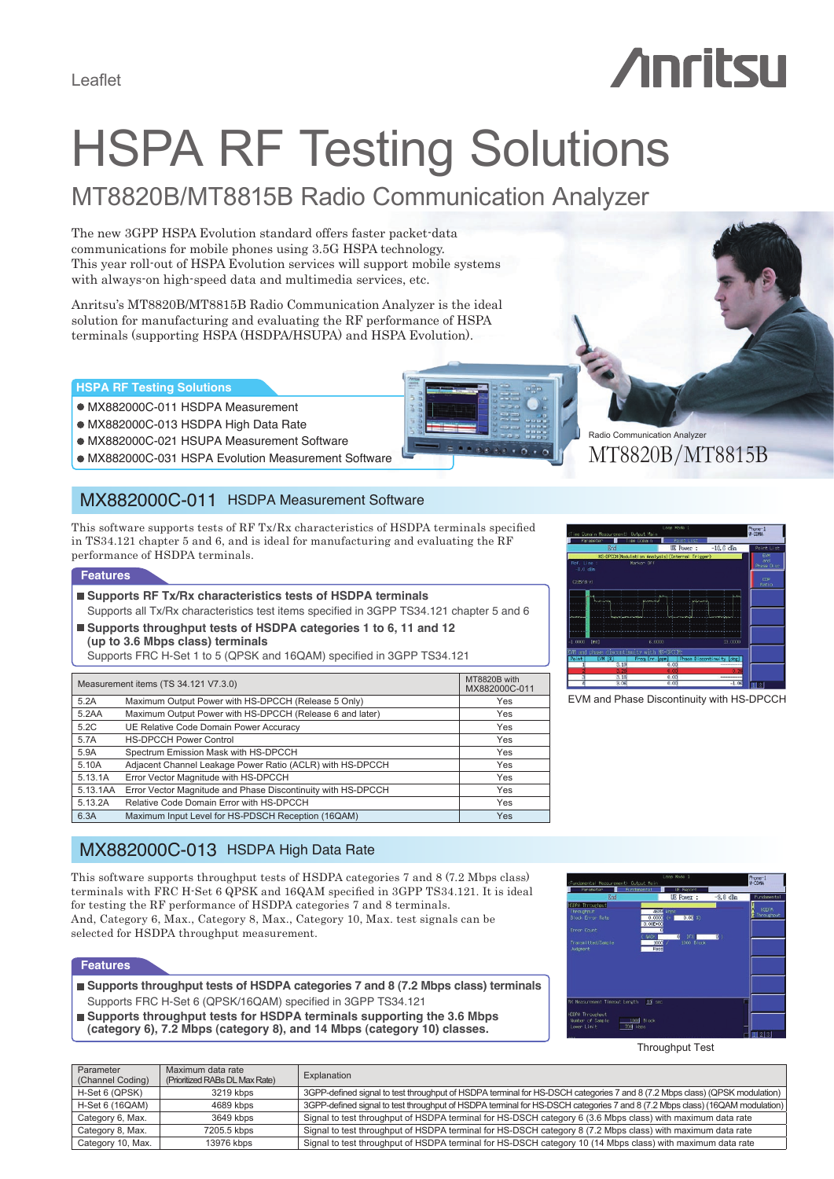# *Anritsu*

# HSPA RF Testing Solutions

# MT8820B/MT8815B Radio Communication Analyzer

The new 3GPP HSPA Evolution standard offers faster packet-data communications for mobile phones using 3.5G HSPA technology. This year roll-out of HSPA Evolution services will support mobile systems with always-on high-speed data and multimedia services, etc.

Anritsu's MT8820B/MT8815B Radio Communication Analyzer is the ideal solution for manufacturing and evaluating the RF performance of HSPA terminals (supporting HSPA (HSDPA/HSUPA) and HSPA Evolution).

#### **HSPA RF Testing Solutions**

- MX882000C-011 HSDPA Measurement
- MX882000C-013 HSDPA High Data Rate
- MX882000C-021 HSUPA Measurement Software
- $\bullet$  MX882000C-031 HSPA Evolution Measurement Software

# MX882000C-011 HSDPA Measurement Software

This software supports tests of RF Tx/Rx characteristics of HSDPA terminals specified in TS34.121 chapter 5 and 6, and is ideal for manufacturing and evaluating the RF performance of HSDPA terminals.

#### **Features**

- Supports RF Tx/Rx characteristics tests of HSDPA terminals Supports all Tx/Rx characteristics test items specified in 3GPP TS34.121 chapter 5 and 6
- Supports throughput tests of HSDPA categories 1 to 6, 11 and 12

**(up to 3.6 Mbps class) terminals** Supports FRC H-Set 1 to 5 (QPSK and 16QAM) specified in 3GPP TS34.121

| Measurement items (TS 34.121 V7.3.0) | MT8820B with<br>MX882000C-011                                          |     |  |
|--------------------------------------|------------------------------------------------------------------------|-----|--|
| 5.2A                                 | Maximum Output Power with HS-DPCCH (Release 5 Only)                    |     |  |
| 5.2AA                                | Maximum Output Power with HS-DPCCH (Release 6 and later)<br><b>Yes</b> |     |  |
| 5.2C                                 | UE Relative Code Domain Power Accuracy                                 | Yes |  |
| 5.7A                                 | <b>HS-DPCCH Power Control</b>                                          | Yes |  |
| 5.9A                                 | Spectrum Emission Mask with HS-DPCCH                                   | Yes |  |
| 5.10A                                | Adjacent Channel Leakage Power Ratio (ACLR) with HS-DPCCH<br>Yes       |     |  |
| 5.13.1A                              | Error Vector Magnitude with HS-DPCCH                                   | Yes |  |
| 5.13.1AA                             | Error Vector Magnitude and Phase Discontinuity with HS-DPCCH<br>Yes    |     |  |
| 5.13.2A                              | Relative Code Domain Error with HS-DPCCH                               | Yes |  |
| 6.3A                                 | Maximum Input Level for HS-PDSCH Reception (16QAM)                     | Yes |  |



Radio Communication Analyzer

EVM and Phase Discontinuity with HS-DPCCH

### MX882000C-013 HSDPA High Data Rate

This software supports throughput tests of HSDPA categories 7 and 8 (7.2 Mbps class) terminals with FRC H-Set 6 QPSK and 16QAM specified in 3GPP TS34.121. It is ideal for testing the RF performance of HSDPA categories 7 and 8 terminals. And, Category 6, Max., Category 8, Max., Category 10, Max. test signals can be selected for HSDPA throughput measurement.

#### **Features**

- **Supports throughput tests of HSDPA categories 7 and 8 (7.2 Mbps class) terminals** Supports FRC H-Set 6 (QPSK/16QAM) specified in 3GPP TS34.121
- **Supports throughput tests for HSDPA terminals supporting the 3.6 Mbps (category 6), 7.2 Mbps (category 8), and 14 Mbps (category 10) classes.**



Throughput Test

| Parameter<br>(Channel Coding) | Maximum data rate<br>(Prioritized RABs DL Max Rate) | Explanation                                                                                                                 |
|-------------------------------|-----------------------------------------------------|-----------------------------------------------------------------------------------------------------------------------------|
| H-Set 6 (QPSK)                | 3219 kbps                                           | 3GPP-defined signal to test throughput of HSDPA terminal for HS-DSCH categories 7 and 8 (7.2 Mbps class) (QPSK modulation)  |
| H-Set 6 (16QAM)               | 4689 kbps                                           | 3GPP-defined signal to test throughput of HSDPA terminal for HS-DSCH categories 7 and 8 (7.2 Mbps class) (16QAM modulation) |
| Category 6, Max.              | 3649 kbps                                           | Signal to test throughput of HSDPA terminal for HS-DSCH category 6 (3.6 Mbps class) with maximum data rate                  |
| Category 8, Max.              | 7205.5 kbps                                         | Signal to test throughput of HSDPA terminal for HS-DSCH category 8 (7.2 Mbps class) with maximum data rate                  |
| Category 10, Max.             | 13976 kbps                                          | Signal to test throughput of HSDPA terminal for HS-DSCH category 10 (14 Mbps class) with maximum data rate                  |